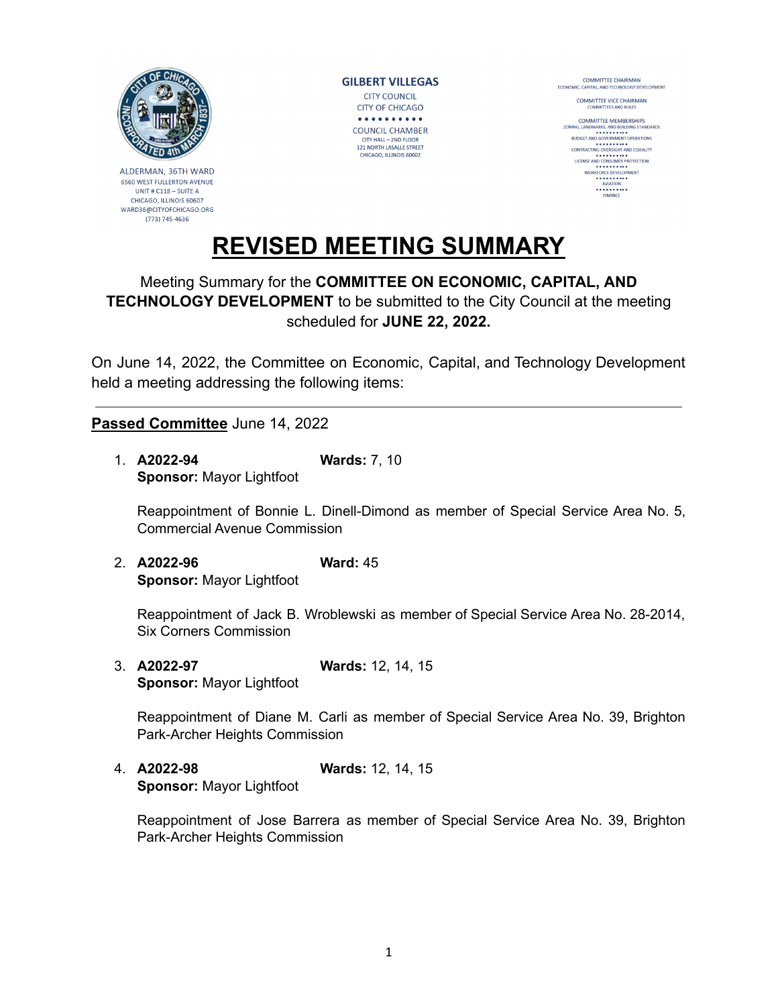

ALDERMAN, 36TH WARD 6560 WEST FULLERTON AVENUE UNIT#C118-SUITEA CHICAGO, ILLINOIS 60607 WARD36@CITYOFCHICAGO.ORG (773) 745-4636

**GILBERT VILLEGAS CITY COUNCIL CITY OF CHICAGO**  $. . . . . . . . . . .$ **COUNCIL CHAMBER** CITY HALL - 2ND FLOOR 121 NORTH LASALLE STREET CHICAGO, ILLINOIS 60602

COMMITTEE CHAIRMAN<br>ECONOMIC, CAPITAL, AND TECHNOLOGY DE COMMITTEE VICE CHAIRMAN

**COMMITTEE MEMBERSHIPS**<br>ZONING LANDMARKS, AND BUILDING STANDARDS NING, LANDMARKS, AND BUILDING STANDAR<br>BUDGET AND GOVERNMENT OPERATIONS<br>CONTRACTING OVERSIGHT AND EQUALITY LICENSE AND CONSUMER PROTECTION WORKFORCE DEVELOPMENT ----------<br>FINANCE

## **REVISED MEETING SUMMARY**

## Meeting Summary for the **COMMITTEE ON ECONOMIC, CAPITAL, AND TECHNOLOGY DEVELOPMENT** to be submitted to the City Council at the meeting scheduled for **JUNE 22, 2022.**

On June 14, 2022, the Committee on Economic, Capital, and Technology Development held a meeting addressing the following items:

## **Passed Committee** June 14, 2022

1. **A2022-94 Wards:** 7, 10 **Sponsor:** Mayor Lightfoot

Reappointment of Bonnie L. Dinell-Dimond as member of Special Service Area No. 5, Commercial Avenue Commission

2. **A2022-96 Ward:** 45 **Sponsor:** Mayor Lightfoot

Reappointment of Jack B. Wroblewski as member of Special Service Area No. 28-2014, Six Corners Commission

3. **A2022-97 Wards:** 12, 14, 15 **Sponsor:** Mayor Lightfoot

Reappointment of Diane M. Carli as member of Special Service Area No. 39, Brighton Park-Archer Heights Commission

4. **A2022-98 Wards:** 12, 14, 15 **Sponsor:** Mayor Lightfoot

Reappointment of Jose Barrera as member of Special Service Area No. 39, Brighton Park-Archer Heights Commission